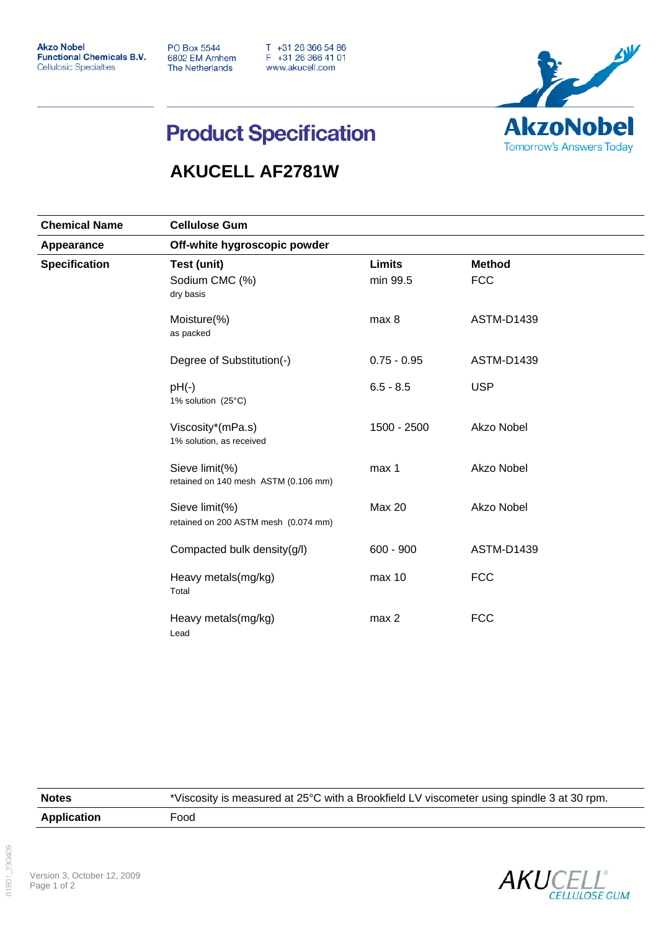**Akzo Nobel Functional Chemicals B.V. Cellulosic Specialties** 

**PO Box 5544** 6802 EM Arnhem **The Netherlands** 

T +31 26 366 54 86<br>F +31 26 366 41 01 www.akucell.com



## **Product Specification**

## **AKUCELL AF2781W**

| <b>Chemical Name</b>               | <b>Cellulose Gum</b>                                   |                           |                             |  |
|------------------------------------|--------------------------------------------------------|---------------------------|-----------------------------|--|
| Appearance<br><b>Specification</b> | Off-white hygroscopic powder                           |                           |                             |  |
|                                    | Test (unit)<br>Sodium CMC (%)<br>dry basis             | <b>Limits</b><br>min 99.5 | <b>Method</b><br><b>FCC</b> |  |
|                                    | Moisture(%)<br>as packed                               | max 8                     | <b>ASTM-D1439</b>           |  |
|                                    | Degree of Substitution(-)                              | $0.75 - 0.95$             | <b>ASTM-D1439</b>           |  |
|                                    | $pH(-)$<br>1% solution (25°C)                          | $6.5 - 8.5$               | <b>USP</b>                  |  |
|                                    | Viscosity*(mPa.s)<br>1% solution, as received          | 1500 - 2500               | Akzo Nobel                  |  |
|                                    | Sieve limit(%)<br>retained on 140 mesh ASTM (0.106 mm) | max 1                     | Akzo Nobel                  |  |
|                                    | Sieve limit(%)<br>retained on 200 ASTM mesh (0.074 mm) | <b>Max 20</b>             | Akzo Nobel                  |  |
|                                    | Compacted bulk density(g/l)                            | $600 - 900$               | <b>ASTM-D1439</b>           |  |
|                                    | Heavy metals(mg/kg)<br>Total                           | max 10                    | <b>FCC</b>                  |  |
|                                    | Heavy metals(mg/kg)<br>Lead                            | max 2                     | <b>FCC</b>                  |  |

| <b>Notes</b>       | *Viscosity is measured at 25°C with a Brookfield LV viscometer using spindle 3 at 30 rpm. |
|--------------------|-------------------------------------------------------------------------------------------|
| <b>Application</b> | Food                                                                                      |

01801 230409